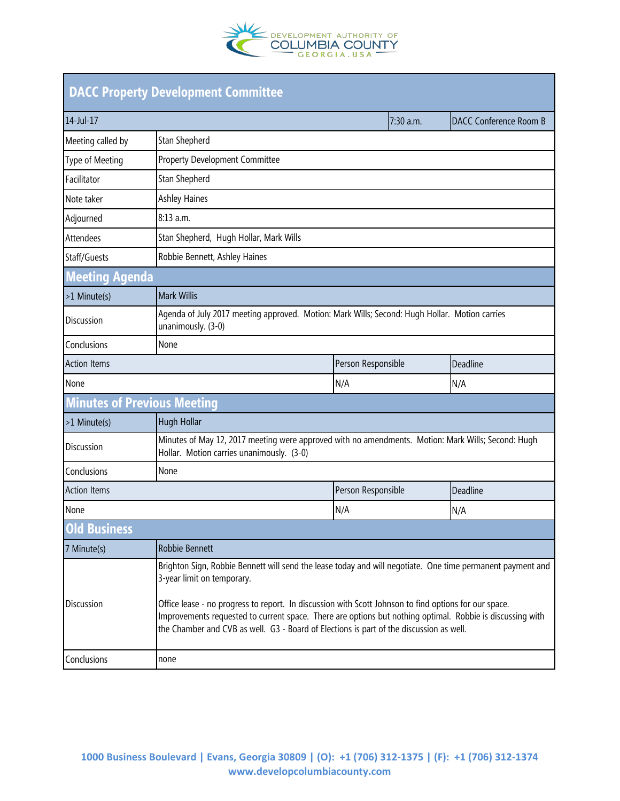

| <b>DACC Property Development Committee</b> |                                                                                                                                                                                                                                                                                                                                                                                                                                                           |                    |           |                               |  |  |
|--------------------------------------------|-----------------------------------------------------------------------------------------------------------------------------------------------------------------------------------------------------------------------------------------------------------------------------------------------------------------------------------------------------------------------------------------------------------------------------------------------------------|--------------------|-----------|-------------------------------|--|--|
| 14-Jul-17                                  |                                                                                                                                                                                                                                                                                                                                                                                                                                                           |                    | 7:30 a.m. | <b>DACC Conference Room B</b> |  |  |
| Meeting called by                          | Stan Shepherd                                                                                                                                                                                                                                                                                                                                                                                                                                             |                    |           |                               |  |  |
| Type of Meeting                            | <b>Property Development Committee</b>                                                                                                                                                                                                                                                                                                                                                                                                                     |                    |           |                               |  |  |
| Facilitator                                | Stan Shepherd                                                                                                                                                                                                                                                                                                                                                                                                                                             |                    |           |                               |  |  |
| Note taker                                 | <b>Ashley Haines</b>                                                                                                                                                                                                                                                                                                                                                                                                                                      |                    |           |                               |  |  |
| Adjourned                                  | 8:13 a.m.                                                                                                                                                                                                                                                                                                                                                                                                                                                 |                    |           |                               |  |  |
| <b>Attendees</b>                           | Stan Shepherd, Hugh Hollar, Mark Wills                                                                                                                                                                                                                                                                                                                                                                                                                    |                    |           |                               |  |  |
| Staff/Guests                               | Robbie Bennett, Ashley Haines                                                                                                                                                                                                                                                                                                                                                                                                                             |                    |           |                               |  |  |
| <b>Meeting Agenda</b>                      |                                                                                                                                                                                                                                                                                                                                                                                                                                                           |                    |           |                               |  |  |
| >1 Minute(s)                               | <b>Mark Willis</b>                                                                                                                                                                                                                                                                                                                                                                                                                                        |                    |           |                               |  |  |
| Discussion                                 | Agenda of July 2017 meeting approved. Motion: Mark Wills; Second: Hugh Hollar. Motion carries<br>unanimously. (3-0)                                                                                                                                                                                                                                                                                                                                       |                    |           |                               |  |  |
| Conclusions                                | None                                                                                                                                                                                                                                                                                                                                                                                                                                                      |                    |           |                               |  |  |
| <b>Action Items</b>                        |                                                                                                                                                                                                                                                                                                                                                                                                                                                           | Person Responsible |           | Deadline                      |  |  |
| None                                       |                                                                                                                                                                                                                                                                                                                                                                                                                                                           | N/A                |           | N/A                           |  |  |
| <b>Minutes of Previous Meeting</b>         |                                                                                                                                                                                                                                                                                                                                                                                                                                                           |                    |           |                               |  |  |
| >1 Minute(s)                               | <b>Hugh Hollar</b>                                                                                                                                                                                                                                                                                                                                                                                                                                        |                    |           |                               |  |  |
| <b>Discussion</b>                          | Minutes of May 12, 2017 meeting were approved with no amendments. Motion: Mark Wills; Second: Hugh<br>Hollar. Motion carries unanimously. (3-0)                                                                                                                                                                                                                                                                                                           |                    |           |                               |  |  |
| Conclusions                                | None                                                                                                                                                                                                                                                                                                                                                                                                                                                      |                    |           |                               |  |  |
| <b>Action Items</b>                        |                                                                                                                                                                                                                                                                                                                                                                                                                                                           | Person Responsible |           | Deadline                      |  |  |
| None                                       |                                                                                                                                                                                                                                                                                                                                                                                                                                                           | N/A                |           | N/A                           |  |  |
| <b>Old Business</b>                        |                                                                                                                                                                                                                                                                                                                                                                                                                                                           |                    |           |                               |  |  |
| 7 Minute(s)                                | Robbie Bennett                                                                                                                                                                                                                                                                                                                                                                                                                                            |                    |           |                               |  |  |
| Discussion                                 | Brighton Sign, Robbie Bennett will send the lease today and will negotiate. One time permanent payment and<br>3-year limit on temporary.<br>Office lease - no progress to report. In discussion with Scott Johnson to find options for our space.<br>Improvements requested to current space. There are options but nothing optimal. Robbie is discussing with<br>the Chamber and CVB as well. G3 - Board of Elections is part of the discussion as well. |                    |           |                               |  |  |
| Conclusions                                | none                                                                                                                                                                                                                                                                                                                                                                                                                                                      |                    |           |                               |  |  |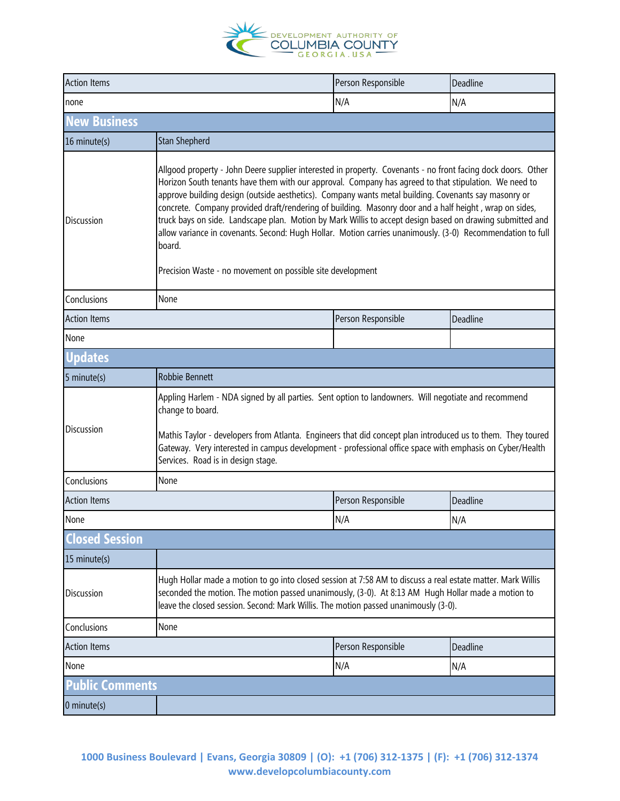

| <b>Action Items</b>                   |                                                                                                                                                                                                                                                                                                                                                                                                                                                                                                                                                                                                                                                                                                                                            | Person Responsible | Deadline |  |  |  |
|---------------------------------------|--------------------------------------------------------------------------------------------------------------------------------------------------------------------------------------------------------------------------------------------------------------------------------------------------------------------------------------------------------------------------------------------------------------------------------------------------------------------------------------------------------------------------------------------------------------------------------------------------------------------------------------------------------------------------------------------------------------------------------------------|--------------------|----------|--|--|--|
| none                                  |                                                                                                                                                                                                                                                                                                                                                                                                                                                                                                                                                                                                                                                                                                                                            | N/A                | N/A      |  |  |  |
| <b>New Business</b>                   |                                                                                                                                                                                                                                                                                                                                                                                                                                                                                                                                                                                                                                                                                                                                            |                    |          |  |  |  |
| 16 minute(s)                          | Stan Shepherd                                                                                                                                                                                                                                                                                                                                                                                                                                                                                                                                                                                                                                                                                                                              |                    |          |  |  |  |
| <b>Discussion</b>                     | Allgood property - John Deere supplier interested in property. Covenants - no front facing dock doors. Other<br>Horizon South tenants have them with our approval. Company has agreed to that stipulation. We need to<br>approve building design (outside aesthetics). Company wants metal building. Covenants say masonry or<br>concrete. Company provided draft/rendering of building. Masonry door and a half height, wrap on sides,<br>truck bays on side. Landscape plan. Motion by Mark Willis to accept design based on drawing submitted and<br>allow variance in covenants. Second: Hugh Hollar. Motion carries unanimously. (3-0) Recommendation to full<br>board.<br>Precision Waste - no movement on possible site development |                    |          |  |  |  |
| Conclusions                           | None                                                                                                                                                                                                                                                                                                                                                                                                                                                                                                                                                                                                                                                                                                                                       |                    |          |  |  |  |
| <b>Action Items</b>                   |                                                                                                                                                                                                                                                                                                                                                                                                                                                                                                                                                                                                                                                                                                                                            | Person Responsible | Deadline |  |  |  |
| None                                  |                                                                                                                                                                                                                                                                                                                                                                                                                                                                                                                                                                                                                                                                                                                                            |                    |          |  |  |  |
| Updates                               |                                                                                                                                                                                                                                                                                                                                                                                                                                                                                                                                                                                                                                                                                                                                            |                    |          |  |  |  |
| 5 minute(s)                           | Robbie Bennett                                                                                                                                                                                                                                                                                                                                                                                                                                                                                                                                                                                                                                                                                                                             |                    |          |  |  |  |
| <b>Discussion</b>                     | Appling Harlem - NDA signed by all parties. Sent option to landowners. Will negotiate and recommend<br>change to board.<br>Mathis Taylor - developers from Atlanta. Engineers that did concept plan introduced us to them. They toured<br>Gateway. Very interested in campus development - professional office space with emphasis on Cyber/Health<br>Services. Road is in design stage.                                                                                                                                                                                                                                                                                                                                                   |                    |          |  |  |  |
| Conclusions                           | None                                                                                                                                                                                                                                                                                                                                                                                                                                                                                                                                                                                                                                                                                                                                       |                    |          |  |  |  |
| <b>Action Items</b>                   |                                                                                                                                                                                                                                                                                                                                                                                                                                                                                                                                                                                                                                                                                                                                            | Person Responsible | Deadline |  |  |  |
| None                                  |                                                                                                                                                                                                                                                                                                                                                                                                                                                                                                                                                                                                                                                                                                                                            | N/A                | N/A      |  |  |  |
| <b>Closed Session</b>                 |                                                                                                                                                                                                                                                                                                                                                                                                                                                                                                                                                                                                                                                                                                                                            |                    |          |  |  |  |
| 15 minute(s)                          |                                                                                                                                                                                                                                                                                                                                                                                                                                                                                                                                                                                                                                                                                                                                            |                    |          |  |  |  |
| <b>Discussion</b>                     | Hugh Hollar made a motion to go into closed session at 7:58 AM to discuss a real estate matter. Mark Willis<br>seconded the motion. The motion passed unanimously, (3-0). At 8:13 AM Hugh Hollar made a motion to<br>leave the closed session. Second: Mark Willis. The motion passed unanimously (3-0).                                                                                                                                                                                                                                                                                                                                                                                                                                   |                    |          |  |  |  |
| Conclusions                           | None                                                                                                                                                                                                                                                                                                                                                                                                                                                                                                                                                                                                                                                                                                                                       |                    |          |  |  |  |
| <b>Action Items</b>                   |                                                                                                                                                                                                                                                                                                                                                                                                                                                                                                                                                                                                                                                                                                                                            | Person Responsible | Deadline |  |  |  |
| None                                  |                                                                                                                                                                                                                                                                                                                                                                                                                                                                                                                                                                                                                                                                                                                                            | N/A                | N/A      |  |  |  |
| <b>Public Comments</b><br>0 minute(s) |                                                                                                                                                                                                                                                                                                                                                                                                                                                                                                                                                                                                                                                                                                                                            |                    |          |  |  |  |

**1000 Business Boulevard | Evans, Georgia 30809 | (O): +1 (706) 312-1375 | (F): +1 (706) 312-1374 www.developcolumbiacounty.com**